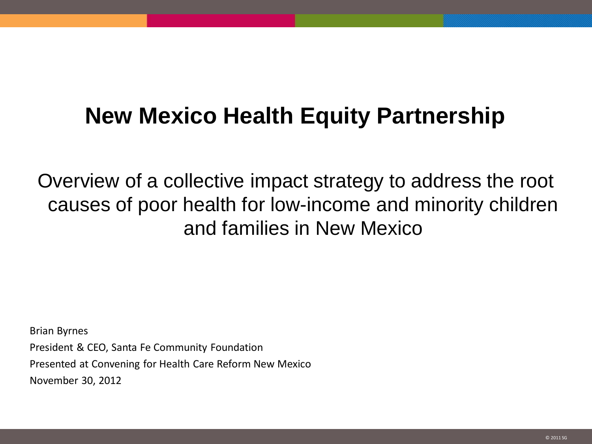## **New Mexico Health Equity Partnership**

Overview of a collective impact strategy to address the root causes of poor health for low-income and minority children and families in New Mexico

Brian Byrnes President & CEO, Santa Fe Community Foundation Presented at Convening for Health Care Reform New Mexico November 30, 2012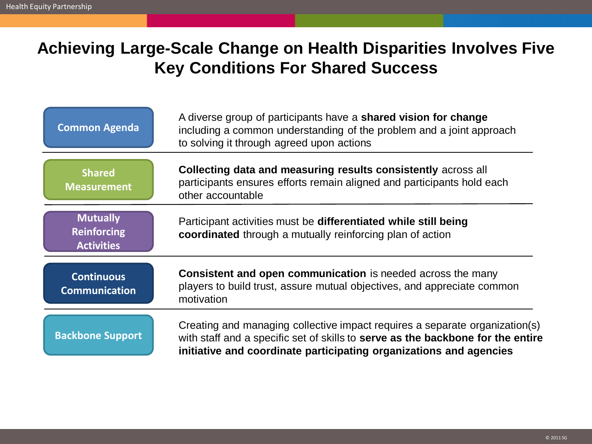## **Achieving Large-Scale Change on Health Disparities Involves Five Key Conditions For Shared Success**

| <b>Common Agenda</b>                                       | A diverse group of participants have a <b>shared vision for change</b><br>including a common understanding of the problem and a joint approach<br>to solving it through agreed upon actions                                          |
|------------------------------------------------------------|--------------------------------------------------------------------------------------------------------------------------------------------------------------------------------------------------------------------------------------|
| <b>Shared</b><br><b>Measurement</b>                        | Collecting data and measuring results consistently across all<br>participants ensures efforts remain aligned and participants hold each<br>other accountable                                                                         |
| <b>Mutually</b><br><b>Reinforcing</b><br><b>Activities</b> | Participant activities must be differentiated while still being<br>coordinated through a mutually reinforcing plan of action                                                                                                         |
| <b>Continuous</b><br><b>Communication</b>                  | Consistent and open communication is needed across the many<br>players to build trust, assure mutual objectives, and appreciate common<br>motivation                                                                                 |
| <b>Backbone Support</b>                                    | Creating and managing collective impact requires a separate organization(s)<br>with staff and a specific set of skills to serve as the backbone for the entire<br>initiative and coordinate participating organizations and agencies |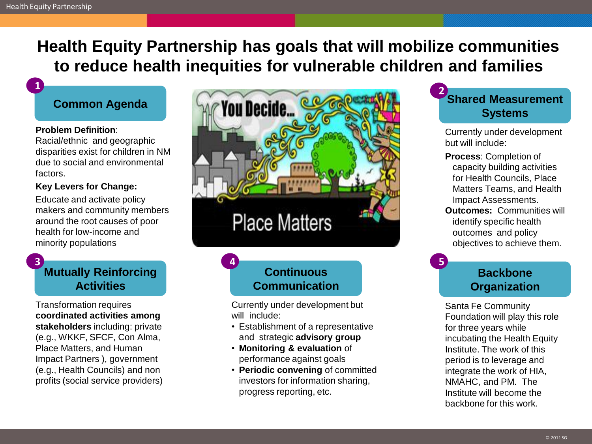**1**

## **Health Equity Partnership has goals that will mobilize communities to reduce health inequities for vulnerable children and families**

#### **Common Agenda**

#### **Problem Definition**:

Racial/ethnic and geographic disparities exist for children in NM due to social and environmental factors.

#### **Key Levers for Change:**

Educate and activate policy makers and community members around the root causes of poor health for low-income and minority populations

#### **Mutually Reinforcing Activities 3**

Transformation requires **coordinated activities among stakeholders** including: private (e.g., WKKF, SFCF, Con Alma, Place Matters, and Human Impact Partners ), government (e.g., Health Councils) and non profits (social service providers)



## **Continuous Communication**

**4**

Currently under development but will include:

- Establishment of a representative and strategic **advisory group**
- **Monitoring & evaluation** of performance against goals
- **Periodic convening** of committed investors for information sharing, progress reporting, etc.



Currently under development but will include:

- **Process**: Completion of capacity building activities for Health Councils, Place Matters Teams, and Health Impact Assessments.
- **Outcomes:** Communities will identify specific health outcomes and policy objectives to achieve them.

### **Backbone Organization**

**5**

Santa Fe Community Foundation will play this role for three years while incubating the Health Equity Institute. The work of this period is to leverage and integrate the work of HIA, NMAHC, and PM. The Institute will become the backbone for this work.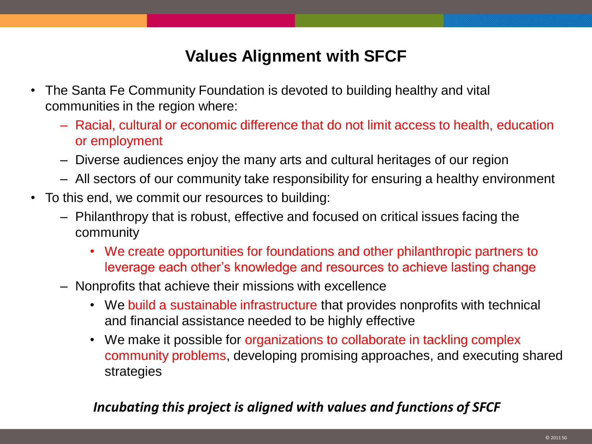## **Values Alignment with SFCF**

- The Santa Fe Community Foundation is devoted to building healthy and vital communities in the region where:
	- Racial, cultural or economic difference that do not limit access to health, education or employment
	- Diverse audiences enjoy the many arts and cultural heritages of our region
	- All sectors of our community take responsibility for ensuring a healthy environment
- To this end, we commit our resources to building:
	- Philanthropy that is robust, effective and focused on critical issues facing the community
		- We create opportunities for foundations and other philanthropic partners to leverage each other's knowledge and resources to achieve lasting change
	- Nonprofits that achieve their missions with excellence
		- We build a sustainable infrastructure that provides nonprofits with technical and financial assistance needed to be highly effective
		- We make it possible for organizations to collaborate in tackling complex community problems, developing promising approaches, and executing shared strategies

### *Incubating this project is aligned with values and functions of SFCF*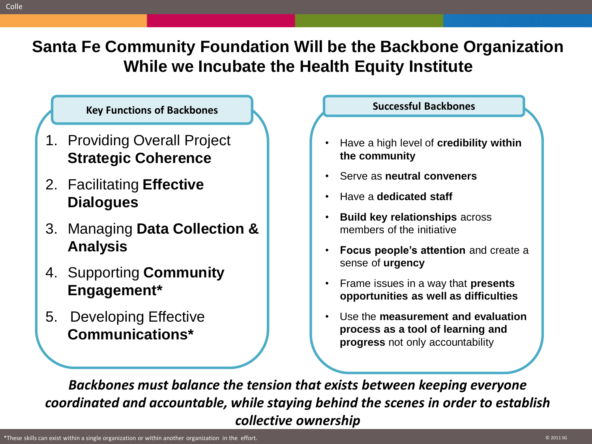Colle

**Santa Fe Community Foundation Will be the Backbone Organization While we Incubate the Health Equity Institute**

### **Key Functions of Backbones**

- 1. Providing Overall Project **Strategic Coherence**
- 2. Facilitating **Effective Dialogues**
- 3. Managing **Data Collection & Analysis**
- 4. Supporting **Community Engagement\***
- 5. Developing Effective **Communications\***

### **Successful Backbones**

- Have a high level of **credibility within the community**
- Serve as **neutral conveners**
- Have a **dedicated staff**
- **Build key relationships** across members of the initiative
- **Focus people's attention** and create a sense of **urgency**
- Frame issues in a way that **presents opportunities as well as difficulties**
- Use the **measurement and evaluation process as a tool of learning and progress** not only accountability

*Backbones must balance the tension that exists between keeping everyone coordinated and accountable, while staying behind the scenes in order to establish collective ownership*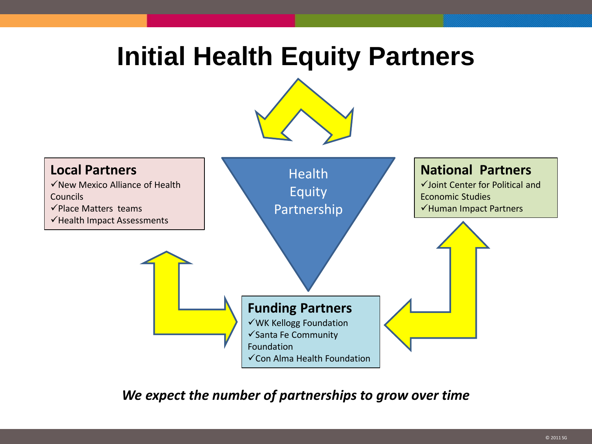# **Initial Health Equity Partners**





*We expect the number of partnerships to grow over time*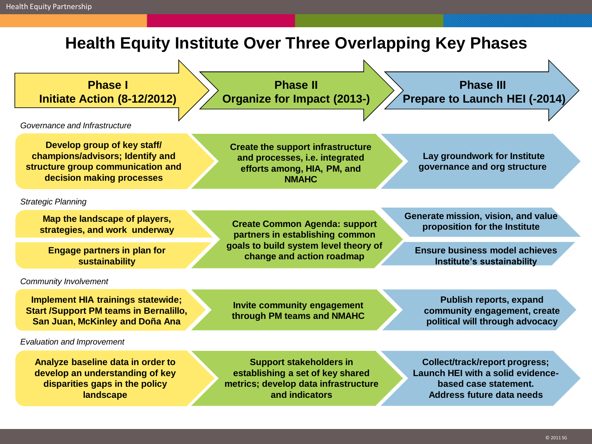## **Health Equity Institute Over Three Overlapping Key Phases**